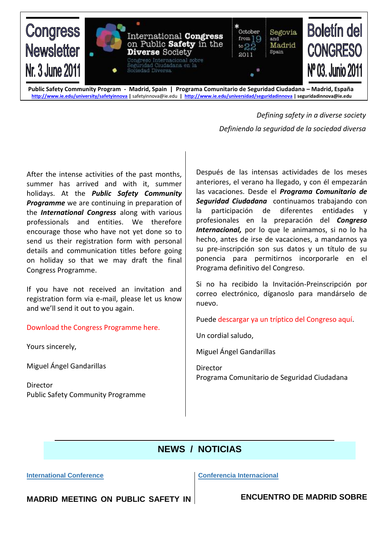

**Public Safety Community Program - Madrid, Spain | Programa Comunitario de Seguridad Ciudadana – Madrid, España <http://www.ie.edu/university/safetyinnova> |** [safetyinnova@ie.edu](mailto:safetyinnova@ie.edu) **|<http://www.ie.edu/universidad/seguridadinnova> | seguridadinnova@ie.edu**

> *Defining safety in a diverse society Definiendo la seguridad de la sociedad diversa*

After the intense activities of the past months, summer has arrived and with it, summer holidays. At the *Public Safety Community Programme* we are continuing in preparation of the *International Congress* along with various professionals and entities. We therefore encourage those who have not yet done so to send us their registration form with personal details and communication titles before going on holiday so that we may draft the final Congress Programme.

If you have not received an invitation and registration form via e-mail, please let us know and we'll send it out to you again.

Download the Congress Programme here.

Yours sincerely,

Miguel Ángel Gandarillas

Director Public Safety Community Programme Después de las intensas actividades de los meses anteriores, el verano ha llegado, y con él empezarán las vacaciones. Desde el *Programa Comunitario de Seguridad Ciudadana* continuamos trabajando con la participación de diferentes entidades y profesionales en la preparación del *Congreso Internacional*, por lo que le animamos, si no lo ha hecho, antes de irse de vacaciones, a mandarnos ya su pre-inscripción son sus datos y un título de su ponencia para permitirnos incorporarle en el Programa definitivo del Congreso.

Si no ha recibido la Invitación-Preinscripción por correo electrónico, díganoslo para mandárselo de nuevo.

Puede descargar ya un tríptico del Congreso aquí.

Un cordial saludo,

Miguel Ángel Gandarillas

Director Programa Comunitario de Seguridad Ciudadana

# **NEWS / NOTICIAS**

**International Conference**

**Conferencia Internacional**

**MADRID MEETING ON PUBLIC SAFETY IN** 

**ENCUENTRO DE MADRID SOBRE**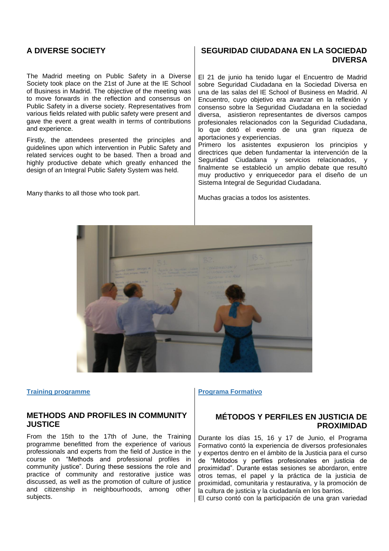### **A DIVERSE SOCIETY**

The Madrid meeting on Public Safety in a Diverse Society took place on the 21st of June at the IE School of Business in Madrid. The objective of the meeting was to move forwards in the reflection and consensus on Public Safety in a diverse society. Representatives from various fields related with public safety were present and gave the event a great wealth in terms of contributions and experience.

Firstly, the attendees presented the principles and guidelines upon which intervention in Public Safety and related services ought to be based. Then a broad and highly productive debate which greatly enhanced the design of an Integral Public Safety System was held.

Many thanks to all those who took part.

### **SEGURIDAD CIUDADANA EN LA SOCIEDAD DIVERSA**

El 21 de junio ha tenido lugar el Encuentro de Madrid sobre Seguridad Ciudadana en la Sociedad Diversa en una de las salas del IE School of Business en Madrid. Al Encuentro, cuyo objetivo era avanzar en la reflexión y consenso sobre la Seguridad Ciudadana en la sociedad diversa, asistieron representantes de diversos campos profesionales relacionados con la Seguridad Ciudadana, lo que dotó el evento de una gran riqueza de aportaciones y experiencias.

Primero los asistentes expusieron los principios y directrices que deben fundamentar la intervención de la Seguridad Ciudadana y servicios relacionados, y finalmente se estableció un amplio debate que resultó muy productivo y enriquecedor para el diseño de un Sistema Integral de Seguridad Ciudadana.

Muchas gracias a todos los asistentes.



**Training programme**

### **METHODS AND PROFILES IN COMMUNITY JUSTICE**

From the 15th to the 17th of June, the Training programme benefitted from the experience of various professionals and experts from the field of Justice in the course on "Methods and professional profiles in community justice". During these sessions the role and practice of community and restorative justice was discussed, as well as the promotion of culture of justice and citizenship in neighbourhoods, among other subjects.

**Programa Formativo**

### **MÉTODOS Y PERFILES EN JUSTICIA DE PROXIMIDAD**

Durante los días 15, 16 y 17 de Junio, el Programa Formativo contó la experiencia de diversos profesionales y expertos dentro en el ámbito de la Justicia para el curso de "Métodos y perfiles profesionales en justicia de proximidad". Durante estas sesiones se abordaron, entre otros temas, el papel y la práctica de la justicia de proximidad, comunitaria y restaurativa, y la promoción de la cultura de justicia y la ciudadanía en los barrios.

El curso contó con la participación de una gran variedad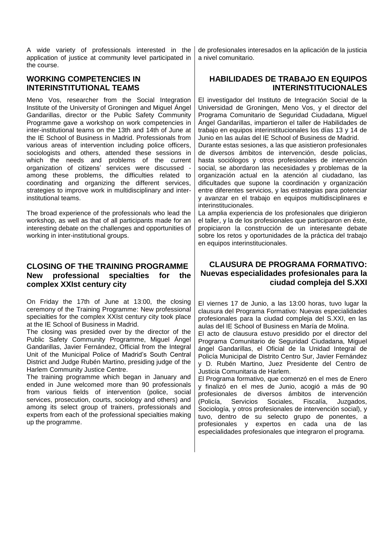A wide variety of professionals interested in the application of justice at community level participated in the course.

# **WORKING COMPETENCIES IN INTERINSTITUTIONAL TEAMS**

Meno Vos, researcher from the Social Integration Institute of the University of Groningen and Miguel Ángel Gandarillas, director or the Public Safety Community Programme gave a workshop on work competencies in inter-institutional teams on the 13th and 14th of June at the IE School of Business in Madrid. Professionals from various areas of intervention including police officers, sociologists and others, attended these sessions in which the needs and problems of the current organization of citizens' services were discussed among these problems, the difficulties related to coordinating and organizing the different services, strategies to improve work in multidisciplinary and interinstitutional teams.

The broad experience of the professionals who lead the workshop, as well as that of all participants made for an interesting debate on the challenges and opportunities of working in inter-institutional groups.

# **CLOSING OF THE TRAINING PROGRAMME New professional specialties for the complex XXIst century city**

On Friday the 17th of June at 13:00, the closing ceremony of the Training Programme: New professional specialties for the complex XXIst century city took place at the IE School of Business in Madrid.

The closing was presided over by the director of the Public Safety Community Programme, Miguel Ángel Gandarillas, Javier Fernández, Official from the Integral Unit of the Municipal Police of Madrid's South Central District and Judge Rubén Martino, presiding judge of the Harlem Community Justice Centre.

The training programme which began in January and ended in June welcomed more than 90 professionals from various fields of intervention (police, social services, prosecution, courts, sociology and others) and among its select group of trainers, professionals and experts from each of the professional specialties making up the programme.

de profesionales interesados en la aplicación de la justicia a nivel comunitario.

# **HABILIDADES DE TRABAJO EN EQUIPOS INTERINSTITUCIONALES**

El investigador del Instituto de Integración Social de la Universidad de Groningen, Meno Vos, y el director del Programa Comunitario de Seguridad Ciudadana, Miguel Ángel Gandarillas, impartieron el taller de Habilidades de trabajo en equipos interinstitucionales los días 13 y 14 de Junio en las aulas del IE School of Business de Madrid.

Durante estas sesiones, a las que asistieron profesionales de diversos ámbitos de intervención, desde policías, hasta sociólogos y otros profesionales de intervención social, se abordaron las necesidades y problemas de la organización actual en la atención al ciudadano, las dificultades que supone la coordinación y organización entre diferentes servicios, y las estrategias para potenciar y avanzar en el trabajo en equipos multidisciplinares e interinstitucionales.

La amplia experiencia de los profesionales que dirigieron el taller, y la de los profesionales que participaron en éste, propiciaron la construcción de un interesante debate sobre los retos y oportunidades de la práctica del trabajo en equipos interinstitucionales.

# **CLAUSURA DE PROGRAMA FORMATIVO: Nuevas especialidades profesionales para la ciudad compleja del S.XXI**

El viernes 17 de Junio, a las 13:00 horas, tuvo lugar la clausura del Programa Formativo: Nuevas especialidades profesionales para la ciudad compleja del S.XXI, en las aulas del IE School of Business en María de Molina.

El acto de clausura estuvo presidido por el director del Programa Comunitario de Seguridad Ciudadana, Miguel ángel Gandarillas, el Oficial de la Unidad Integral de Policía Municipal de Distrito Centro Sur, Javier Fernández y D. Rubén Martino, Juez Presidente del Centro de Justicia Comunitaria de Harlem.

El Programa formativo, que comenzó en el mes de Enero y finalizó en el mes de Junio, acogió a más de 90 profesionales de diversos ámbitos de intervención (Policía, Servicios Sociales, Fiscalía, Juzgados, Sociología, y otros profesionales de intervención social), y tuvo, dentro de su selecto grupo de ponentes, a profesionales y expertos en cada una de las especialidades profesionales que integraron el programa.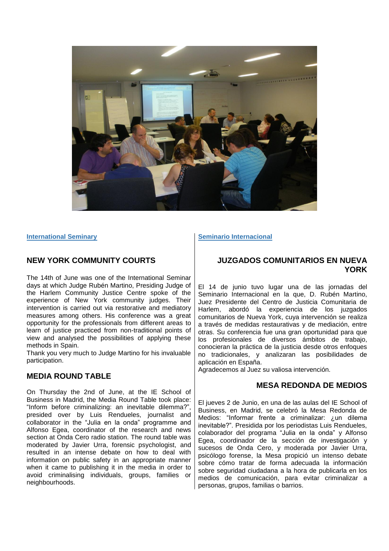

**International Seminary**

### **NEW YORK COMMUNITY COURTS**

The 14th of June was one of the International Seminar days at which Judge Rubén Martino, Presiding Judge of the Harlem Community Justice Centre spoke of the experience of New York community judges. Their intervention is carried out via restorative and mediatory measures among others. His conference was a great opportunity for the professionals from different areas to learn of justice practiced from non-traditional points of view and analysed the possibilities of applying these methods in Spain.

Thank you very much to Judge Martino for his invaluable participation.

### **MEDIA ROUND TABLE**

On Thursday the 2nd of June, at the IE School of Business in Madrid, the Media Round Table took place: "Inform before criminalizing: an inevitable dilemma?", presided over by Luis Rendueles, journalist and collaborator in the "Julia en la onda" programme and Alfonso Egea, coordinator of the research and news section at Onda Cero radio station. The round table was moderated by Javier Urra, forensic psychologist, and resulted in an intense debate on how to deal with information on public safety in an appropriate manner when it came to publishing it in the media in order to avoid criminalising individuals, groups, families or neighbourhoods.

#### **Seminario Internacional**

### **JUZGADOS COMUNITARIOS EN NUEVA YORK**

El 14 de junio tuvo lugar una de las jornadas del Seminario Internacional en la que, D. Rubén Martino, Juez Presidente del Centro de Justicia Comunitaria de Harlem, abordó la experiencia de los juzgados comunitarios de Nueva York, cuya intervención se realiza a través de medidas restaurativas y de mediación, entre otras. Su conferencia fue una gran oportunidad para que los profesionales de diversos ámbitos de trabajo, conocieran la práctica de la justicia desde otros enfoques no tradicionales, y analizaran las posibilidades de aplicación en España.

Agradecemos al Juez su valiosa intervención.

### **MESA REDONDA DE MEDIOS**

El jueves 2 de Junio, en una de las aulas del IE School of Business, en Madrid, se celebró la Mesa Redonda de Medios: "Informar frente a criminalizar: ¿un dilema inevitable?". Presidida por los periodistas Luis Rendueles, colaborador del programa "Julia en la onda" y Alfonso Egea, coordinador de la sección de investigación y sucesos de Onda Cero, y moderada por Javier Urra, psicólogo forense, la Mesa propició un intenso debate sobre cómo tratar de forma adecuada la información sobre seguridad ciudadana a la hora de publicarla en los medios de comunicación, para evitar criminalizar a personas, grupos, familias o barrios.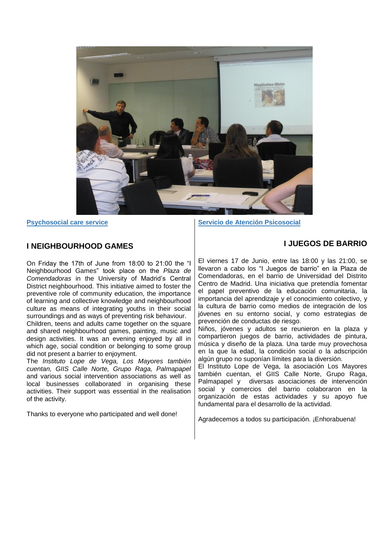

**Psychosocial care service**

### **I NEIGHBOURHOOD GAMES**

On Friday the 17th of June from 18:00 to 21:00 the "I Neighbourhood Games" took place on the *Plaza de Comendadoras* in the University of Madrid's Central District neighbourhood. This initiative aimed to foster the preventive role of community education, the importance of learning and collective knowledge and neighbourhood culture as means of integrating youths in their social surroundings and as ways of preventing risk behaviour.

Children, teens and adults came together on the square and shared neighbourhood games, painting, music and design activities. It was an evening enjoyed by all in which age, social condition or belonging to some group did not present a barrier to enjoyment.

The *Instituto Lope de Vega, Los Mayores también cuentan, GIIS Calle Norte, Grupo Raga, Palmapapel* and various social intervention associations as well as local businesses collaborated in organising these activities. Their support was essential in the realisation of the activity.

Thanks to everyone who participated and well done!

**Servicio de Atención Psicosocial**

## **I JUEGOS DE BARRIO**

El viernes 17 de Junio, entre las 18:00 y las 21:00, se llevaron a cabo los "I Juegos de barrio" en la Plaza de Comendadoras, en el barrio de Universidad del Distrito Centro de Madrid. Una iniciativa que pretendía fomentar el papel preventivo de la educación comunitaria, la importancia del aprendizaje y el conocimiento colectivo, y la cultura de barrio como medios de integración de los jóvenes en su entorno social, y como estrategias de prevención de conductas de riesgo.

Niños, jóvenes y adultos se reunieron en la plaza y compartieron juegos de barrio, actividades de pintura, música y diseño de la plaza. Una tarde muy provechosa en la que la edad, la condición social o la adscripción algún grupo no suponían límites para la diversión.

El Instituto Lope de Vega, la asociación Los Mayores también cuentan, el GIIS Calle Norte, Grupo Raga, Palmapapel y diversas asociaciones de intervención social y comercios del barrio colaboraron en la organización de estas actividades y su apoyo fue fundamental para el desarrollo de la actividad.

Agradecemos a todos su participación. ¡Enhorabuena!